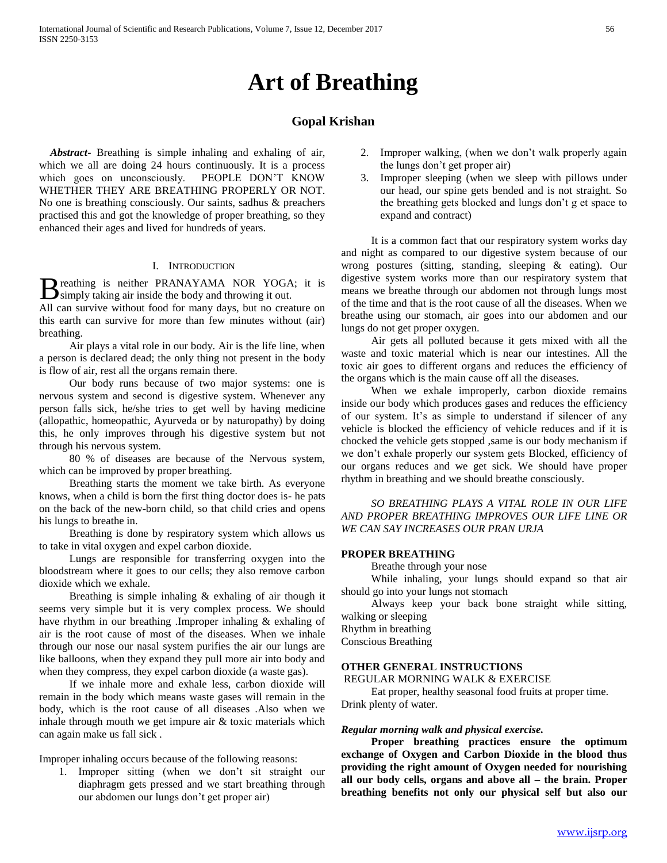# **Art of Breathing**

## **Gopal Krishan**

 *Abstract***-** Breathing is simple inhaling and exhaling of air, which we all are doing 24 hours continuously. It is a process which goes on unconsciously. PEOPLE DON'T KNOW WHETHER THEY ARE BREATHING PROPERLY OR NOT. No one is breathing consciously. Our saints, sadhus & preachers practised this and got the knowledge of proper breathing, so they enhanced their ages and lived for hundreds of years.

## I. INTRODUCTION

reathing is neither PRANAYAMA NOR YOGA; it is B reathing is neither PRANAYAMA NOR YOGA<br>simply taking air inside the body and throwing it out.

All can survive without food for many days, but no creature on this earth can survive for more than few minutes without (air) breathing.

 Air plays a vital role in our body. Air is the life line, when a person is declared dead; the only thing not present in the body is flow of air, rest all the organs remain there.

 Our body runs because of two major systems: one is nervous system and second is digestive system. Whenever any person falls sick, he/she tries to get well by having medicine (allopathic, homeopathic, Ayurveda or by naturopathy) by doing this, he only improves through his digestive system but not through his nervous system.

 80 % of diseases are because of the Nervous system, which can be improved by proper breathing.

 Breathing starts the moment we take birth. As everyone knows, when a child is born the first thing doctor does is- he pats on the back of the new-born child, so that child cries and opens his lungs to breathe in.

 Breathing is done by respiratory system which allows us to take in vital oxygen and expel carbon dioxide.

 Lungs are responsible for transferring oxygen into the bloodstream where it goes to our cells; they also remove carbon dioxide which we exhale.

Breathing is simple inhaling  $&$  exhaling of air though it seems very simple but it is very complex process. We should have rhythm in our breathing .Improper inhaling & exhaling of air is the root cause of most of the diseases. When we inhale through our nose our nasal system purifies the air our lungs are like balloons, when they expand they pull more air into body and when they compress, they expel carbon dioxide (a waste gas).

 If we inhale more and exhale less, carbon dioxide will remain in the body which means waste gases will remain in the body, which is the root cause of all diseases .Also when we inhale through mouth we get impure air & toxic materials which can again make us fall sick .

Improper inhaling occurs because of the following reasons:

1. Improper sitting (when we don't sit straight our diaphragm gets pressed and we start breathing through our abdomen our lungs don't get proper air)

- 2. Improper walking, (when we don't walk properly again the lungs don't get proper air)
- 3. Improper sleeping (when we sleep with pillows under our head, our spine gets bended and is not straight. So the breathing gets blocked and lungs don't g et space to expand and contract)

 It is a common fact that our respiratory system works day and night as compared to our digestive system because of our wrong postures (sitting, standing, sleeping & eating). Our digestive system works more than our respiratory system that means we breathe through our abdomen not through lungs most of the time and that is the root cause of all the diseases. When we breathe using our stomach, air goes into our abdomen and our lungs do not get proper oxygen.

 Air gets all polluted because it gets mixed with all the waste and toxic material which is near our intestines. All the toxic air goes to different organs and reduces the efficiency of the organs which is the main cause off all the diseases.

 When we exhale improperly, carbon dioxide remains inside our body which produces gases and reduces the efficiency of our system. It's as simple to understand if silencer of any vehicle is blocked the efficiency of vehicle reduces and if it is chocked the vehicle gets stopped ,same is our body mechanism if we don't exhale properly our system gets Blocked, efficiency of our organs reduces and we get sick. We should have proper rhythm in breathing and we should breathe consciously.

 *SO BREATHING PLAYS A VITAL ROLE IN OUR LIFE AND PROPER BREATHING IMPROVES OUR LIFE LINE OR WE CAN SAY INCREASES OUR PRAN URJA*

### **PROPER BREATHING**

Breathe through your nose

 While inhaling, your lungs should expand so that air should go into your lungs not stomach

 Always keep your back bone straight while sitting, walking or sleeping

Rhythm in breathing Conscious Breathing

## **OTHER GENERAL INSTRUCTIONS**

REGULAR MORNING WALK & EXERCISE

 Eat proper, healthy seasonal food fruits at proper time. Drink plenty of water.

#### *Regular morning walk and physical exercise.*

 **Proper breathing practices ensure the optimum exchange of Oxygen and Carbon Dioxide in the blood thus providing the right amount of Oxygen needed for nourishing all our body cells, organs and above all – the brain. Proper breathing benefits not only our physical self but also our**